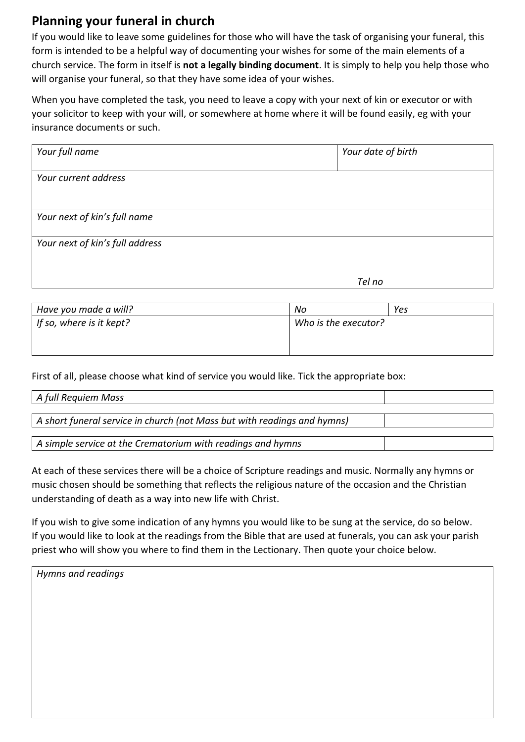## **Planning your funeral in church**

If you would like to leave some guidelines for those who will have the task of organising your funeral, this form is intended to be a helpful way of documenting your wishes for some of the main elements of a church service. The form in itself is **not a legally binding document**. It is simply to help you help those who will organise your funeral, so that they have some idea of your wishes.

When you have completed the task, you need to leave a copy with your next of kin or executor or with your solicitor to keep with your will, or somewhere at home where it will be found easily, eg with your insurance documents or such.

| Your full name                  | Your date of birth |
|---------------------------------|--------------------|
| Your current address            |                    |
| Your next of kin's full name    |                    |
| Your next of kin's full address |                    |
|                                 | Tel no             |

| Have you made a will?    | No                   | Yes |
|--------------------------|----------------------|-----|
| If so, where is it kept? | Who is the executor? |     |
|                          |                      |     |

First of all, please choose what kind of service you would like. Tick the appropriate box:

| A full Requiem Mass                                                      |  |
|--------------------------------------------------------------------------|--|
|                                                                          |  |
| A short funeral service in church (not Mass but with readings and hymns) |  |
|                                                                          |  |
| A simple service at the Crematorium with readings and hymns              |  |

At each of these services there will be a choice of Scripture readings and music. Normally any hymns or music chosen should be something that reflects the religious nature of the occasion and the Christian understanding of death as a way into new life with Christ.

If you wish to give some indication of any hymns you would like to be sung at the service, do so below. If you would like to look at the readings from the Bible that are used at funerals, you can ask your parish priest who will show you where to find them in the Lectionary. Then quote your choice below.

| Hymns and readings |  |  |
|--------------------|--|--|
|                    |  |  |
|                    |  |  |
|                    |  |  |
|                    |  |  |
|                    |  |  |
|                    |  |  |
|                    |  |  |